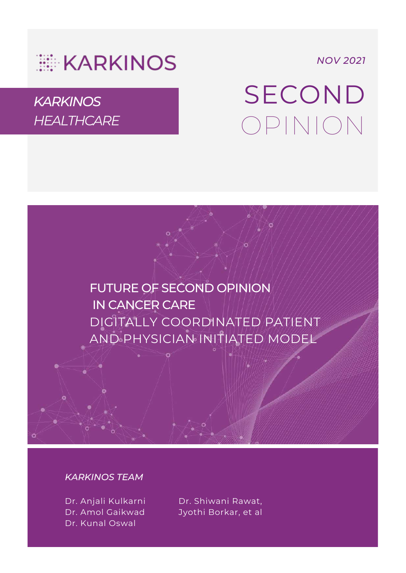

*NOV 2021*

### *KARKINOS HEALTHCARE*

# SECOND OPINION



#### *KARKINOS TEAM*

Dr. Anjali Kulkarni Dr. Amol Gaikwad Dr. Kunal Oswal

Dr. Shiwani Rawat, Jyothi Borkar, et al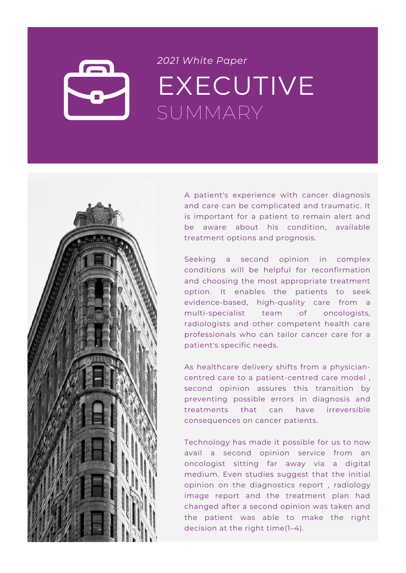## EXECUTIVE SUMMARY *2021 White Paper*



A patient's experience with cancer diagnosis and care can be complicated and traumatic. It is important for a patient to remain alert and be aware about his condition, available treatment options and prognosis.

Seeking a second opinion in complex conditions will be helpful for reconfirmation and choosing the most appropriate treatment option. It enables the patients to seek evidence-based, high-quality care from a multi-specialist team of oncologists, radiologists and other competent health care professionals who can tailor cancer care for a patient's specific needs.

As healthcare delivery shifts from a physiciancentred care to a patient-centred care model , second opinion assures this transition by preventing possible errors in diagnosis and treatments that can have irreversible consequences on cancer patients.

Technology has made it possible for us to now avail a second opinion service from an oncologist sitting far away via a digital medium. Even studies suggest that the initial opinion on the diagnostics report , radiology image report and the treatment plan had changed after a second opinion was taken and the patient was able to make the right decision at the right time[\(1–4\).](https://www.zotero.org/google-docs/?Pcas4b)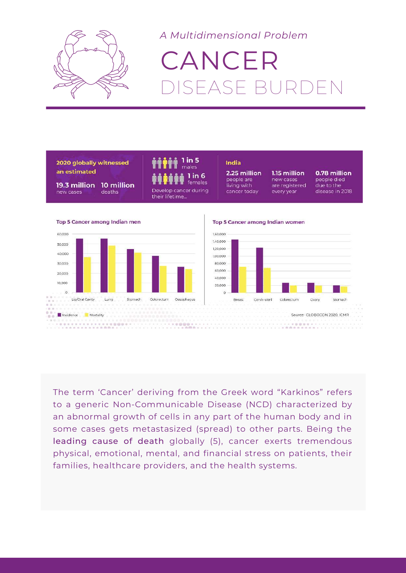

*A Multidimensional Problem*

## CANCER ISEASE BURDE



The term 'Cancer' deriving from the Greek word "Karkinos" refers to a generic Non-Communicable Disease (NCD) characterized by an abnormal growth of cells in any part of the human body and in some cases gets metastasized (spread) to other parts. Being the leading cause of death globally [\(5\),](https://www.zotero.org/google-docs/?c8CUR7) cancer exerts tremendous physical, emotional, mental, and financial stress on patients, their families, healthcare providers, and the health systems.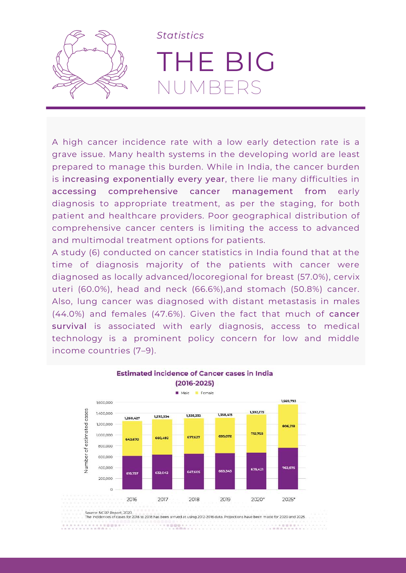

A high cancer incidence rate with a low early detection rate is a grave issue. Many health systems in the developing world are least prepared to manage this burden. While in India, the cancer burden is increasing exponentially every year, there lie many difficulties in accessing comprehensive cancer management from early diagnosis to appropriate treatment, as per the staging, for both patient and healthcare providers. Poor geographical distribution of comprehensive cancer centers is limiting the access to advanced and multimodal treatment options for patients.

A study [\(6\)](https://www.zotero.org/google-docs/?jFfY5g) conducted on cancer statistics in India found that at the time of diagnosis majority of the patients with cancer were diagnosed as locally advanced/locoregional for breast (57.0%), cervix uteri (60.0%), head and neck (66.6%),and stomach (50.8%) cancer. Also, lung cancer was diagnosed with distant metastasis in males (44.0%) and females (47.6%). Given the fact that much of cancer survival is associated with early diagnosis, access to medical technology is a prominent policy concern for low and middle income countries [\(7–9\).](https://www.zotero.org/google-docs/?7oyORr)



**Estimated incidence of Cancer cases in India** 

The incidences of cases for 2016 to 2018 has been arrived at using 2012-2016 data. Projections have been made for 2020 and 2025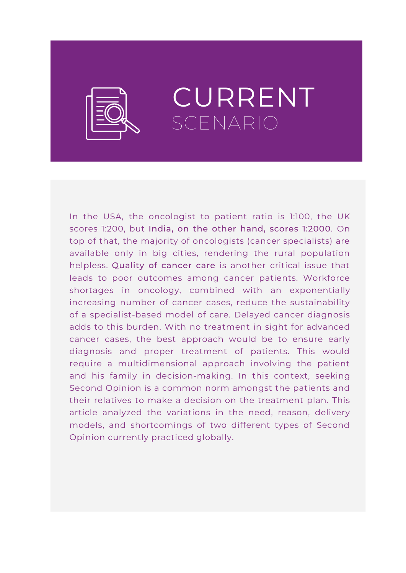

## CURRENT SCENARIO

In the USA, the oncologist to patient ratio is 1:100, the UK scores 1:200, but India, on the other hand, scores 1:2000. On top of that, the majority of oncologists (cancer specialists) are available only in big cities, rendering the rural population helpless. Quality of cancer care is another critical issue that leads to poor outcomes among cancer patients. Workforce shortages in oncology, combined with an exponentially increasing number of cancer cases, reduce the sustainability of a specialist-based model of care. Delayed cancer diagnosis adds to this burden. With no treatment in sight for advanced cancer cases, the best approach would be to ensure early diagnosis and proper treatment of patients. This would require a multidimensional approach involving the patient and his family in decision-making. In this context, seeking Second Opinion is a common norm amongst the patients and their relatives to make a decision on the treatment plan. This article analyzed the variations in the need, reason, delivery models, and shortcomings of two different types of Second Opinion currently practiced globally.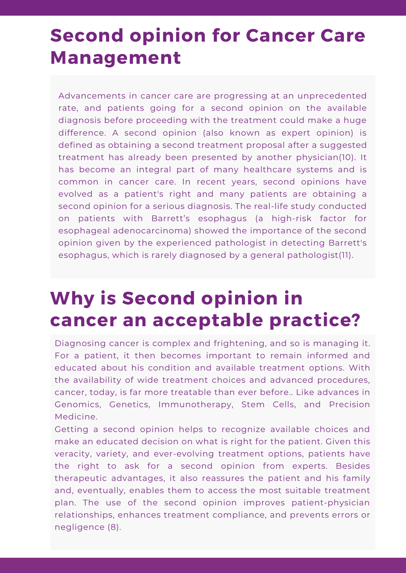### **Second opinion for Cancer Care Management**

Advancements in cancer care are progressing at an unprecedented rate, and patients going for a second opinion on the available diagnosis before proceeding with the treatment could make a huge difference. A second opinion (also known as expert opinion) is defined as obtaining a second treatment proposal after a suggested treatment has already been presented by another physician[\(10\).](https://www.zotero.org/google-docs/?yxMJHT) It has become an integral part of many healthcare systems and is common in cancer care. In recent years, second opinions have evolved as a patient's right and many patients are obtaining a second opinion for a serious diagnosis. The real-life study conducted on patients with Barrett's esophagus (a high-risk factor for esophageal adenocarcinoma) showed the importance of the second opinion given by the experienced pathologist in detecting Barrett's esophagus, which is rarely diagnosed by a general pathologist[\(11\)](https://www.zotero.org/google-docs/?oqA6Vm).

### **Why is Second opinion in cancer an acceptable practice?**

Diagnosing cancer is complex and frightening, and so is managing it. For a patient, it then becomes important to remain informed and educated about his condition and available treatment options. With the availability of wide treatment choices and advanced procedures, cancer, today, is far more treatable than ever before.. Like advances in Genomics, Genetics, Immunotherapy, Stem Cells, and Precision Medicine.

Getting a second opinion helps to recognize available choices and make an educated decision on what is right for the patient. Given this veracity, variety, and ever-evolving treatment options, patients have the right to ask for a second opinion from experts. Besides therapeutic advantages, it also reassures the patient and his family and, eventually, enables them to access the most suitable treatment plan. The use of the second opinion improves patient-physician relationships, enhances treatment compliance, and prevents errors or negligence [\(8\)](https://www.zotero.org/google-docs/?GGUUrp).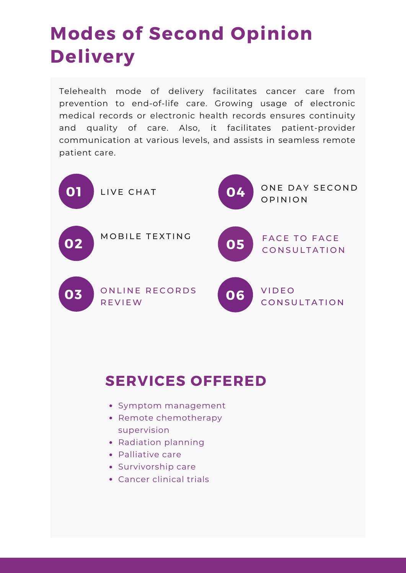## **Modes of Second Opinion Delivery**

Telehealth mode of delivery facilitates cancer care from prevention to end-of-life care. Growing usage of electronic medical records or electronic health records ensures continuity and quality of care. Also, it facilitates patient-provider communication at various levels, and assists in seamless remote patient care.



### **SERVICES OFFERED**

- Symptom management
- Remote chemotherapy supervision
- Radiation planning
- Palliative care
- Survivorship care
- Cancer clinical trials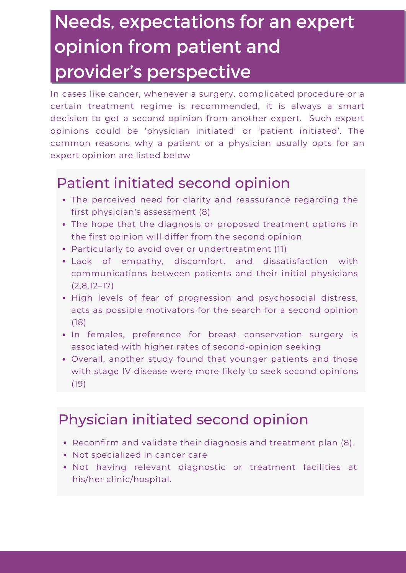## Needs, expectations for an expert opinion from patient and provider's perspective

In cases like cancer, whenever a surgery, complicated procedure or a certain treatment regime is recommended, it is always a smart decision to get a second opinion from another expert. Such expert opinions could be 'physician initiated' or 'patient initiated'. The common reasons why a patient or a physician usually opts for an expert opinion are listed below

### Patient initiated second opinion

- The perceived need for clarity and reassurance regarding the first physician's assessment [\(8\)](https://www.zotero.org/google-docs/?gVoLe7)
- The hope that the diagnosis or proposed treatment options in the first opinion will differ from the second opinion
- Particularly to avoid over or undertreatment [\(11\)](https://www.zotero.org/google-docs/?W18kHf)
- Lack of empathy, discomfort, and dissatisfaction with communications between patients and their initial physicians [\(2,8,12–17\)](https://www.zotero.org/google-docs/?AJuSgp)
- High levels of fear of progression and psychosocial distress, acts as possible motivators for the search for a second opinion [\(18\)](https://www.zotero.org/google-docs/?H2TsBf)
- In females, preference for breast conservation surgery is associated with higher rates of second-opinion seeking
- Overall, another study found that younger patients and those with stage IV disease were more likely to seek second opinions [\(19\)](https://www.zotero.org/google-docs/?YpzX8N)

### Physician initiated second opinion

- Reconfirm and validate their diagnosis and treatment plan [\(8\).](https://www.zotero.org/google-docs/?iFgkgq)
- Not specialized in cancer care
- Not having relevant diagnostic or treatment facilities at his/her clinic/hospital.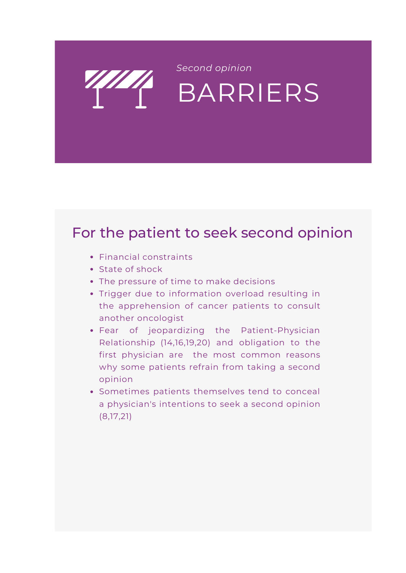## BARRIERS *Second opinion*

### For the patient to seek second opinion

- Financial constraints
- State of shock
- The pressure of time to make decisions
- Trigger due to information overload resulting in the apprehension of cancer patients to consult another oncologist
- Fear of jeopardizing the Patient-Physician Relationship [\(14,16,19,20\)](https://www.zotero.org/google-docs/?GB0GRl) and obligation to the first physician are the most common reasons why some patients refrain from taking a second opinion
- Sometimes patients themselves tend to conceal a physician's intentions to seek a second opinion [\(8,17,21\)](https://www.zotero.org/google-docs/?SDfgCO)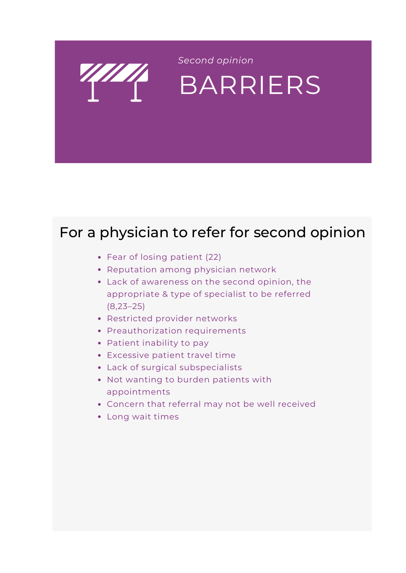

## BARRIERS *Second opinion*

### For a physician to refer for second opinion

- Fear of losing patient [\(22\)](https://www.zotero.org/google-docs/?GLC2fc)
- Reputation among physician network
- Lack of awareness on the second opinion, the appropriate & type of specialist to be referred [\(8,23–25\)](https://www.zotero.org/google-docs/?NhxkNR)
- Restricted provider networks
- Preauthorization requirements
- Patient inability to pay
- Excessive patient travel time
- Lack of surgical subspecialists
- Not wanting to burden patients with appointments
- Concern that referral may not be well received
- Long wait times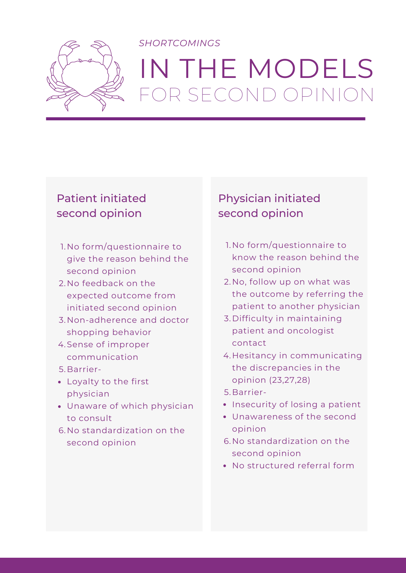

# IN THE MODELS FOR SECOND OPINION

*SHORTCOMINGS*

#### Patient initiated second opinion

- 1. No form/questionnaire to give the reason behind the second opinion
- 2. No feedback on the expected outcome from initiated second opinion
- Non-adherence and doctor 3. shopping behavior
- 4. Sense of improper communication
- Barrier-5.
- Loyalty to the first physician
- Unaware of which physician to consult
- 6. No standardization on the second opinion

#### Physician initiated second opinion

- 1. No form/questionnaire to know the reason behind the second opinion
- 2. No, follow up on what was the outcome by referring the patient to another physician
- 3. Difficulty in maintaining patient and oncologist contact
- 4.Hesitancy in communicating the discrepancies in the opinion [\(23,27,28\)](https://www.zotero.org/google-docs/?Hpnbdy)
- Barrier-5.
- Insecurity of losing a patient
- Unawareness of the second opinion
- 6. No standardization on the second opinion
- No structured referral form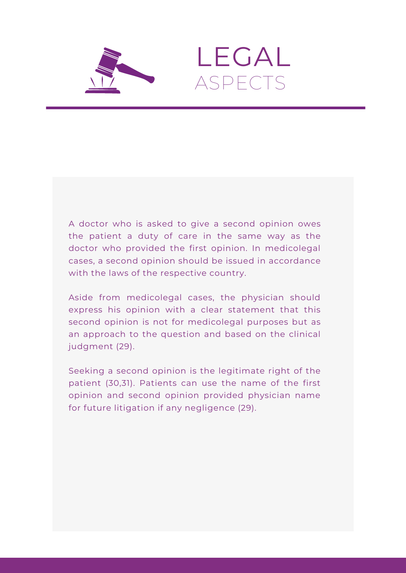



A doctor who is asked to give a second opinion owes the patient a duty of care in the same way as the doctor who provided the first opinion. In medicolegal cases, a second opinion should be issued in accordance with the laws of the respective country.

Aside from medicolegal cases, the physician should express his opinion with a clear statement that this second opinion is not for medicolegal purposes but as an approach to the question and based on the clinical judgment [\(29\).](https://www.zotero.org/google-docs/?iW9SRr)

Seeking a second opinion is the legitimate right of the patient [\(30,31\)](https://www.zotero.org/google-docs/?6Y9leN). Patients can use the name of the first opinion and second opinion provided physician name for future litigation if any negligence [\(29\).](https://www.zotero.org/google-docs/?KWIe1R)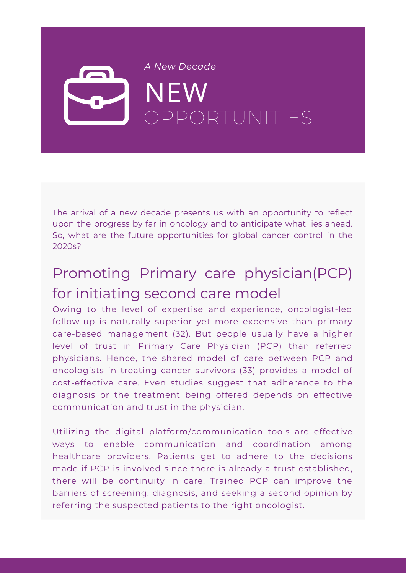## NEW OPPORTUNITIES *A New Decade*

The arrival of a new decade presents us with an opportunity to reflect upon the progress by far in oncology and to anticipate what lies ahead. So, what are the future opportunities for global cancer control in the 2020s?

### Promoting Primary care physician(PCP) for initiating second care model

Owing to the level of expertise and experience, oncologist-led follow-up is naturally superior yet more expensive than primary care-based management [\(32\)](https://www.zotero.org/google-docs/?JZpqcX). But people usually have a higher level of trust in Primary Care Physician (PCP) than referred physicians. Hence, the shared model of care between PCP and oncologists in treating cancer survivors [\(33\)](https://www.zotero.org/google-docs/?RdecmS) provides a model of cost-effective care. Even studies suggest that adherence to the diagnosis or the treatment being offered depends on effective communication and trust in the physician.

Utilizing the digital platform/communication tools are effective ways to enable communication and coordination among healthcare providers. Patients get to adhere to the decisions made if PCP is involved since there is already a trust established, there will be continuity in care. Trained PCP can improve the barriers of screening, diagnosis, and seeking a second opinion by referring the suspected patients to the right oncologist.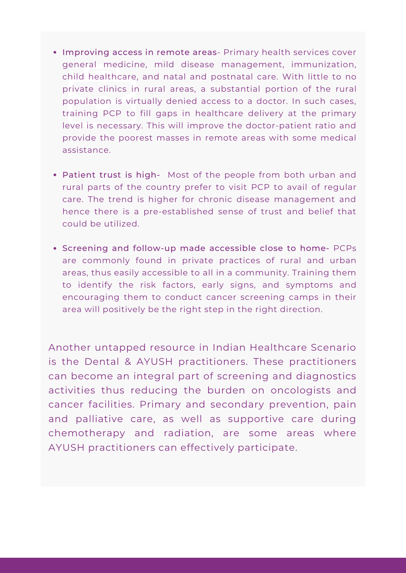- Improving access in remote areas- Primary health services cover general medicine, mild disease management, immunization, child healthcare, and natal and postnatal care. With little to no private clinics in rural areas, a substantial portion of the rural population is virtually denied access to a doctor. In such cases, training PCP to fill gaps in healthcare delivery at the primary level is necessary. This will improve the doctor-patient ratio and provide the poorest masses in remote areas with some medical assistance.
- Patient trust is high- Most of the people from both urban and rural parts of the country prefer to visit PCP to avail of regular care. The trend is higher for chronic disease management and hence there is a pre-established sense of trust and belief that could be utilized.
- Screening and follow-up made accessible close to home- PCPs are commonly found in private practices of rural and urban areas, thus easily accessible to all in a community. Training them to identify the risk factors, early signs, and symptoms and encouraging them to conduct cancer screening camps in their area will positively be the right step in the right direction.

Another untapped resource in Indian Healthcare Scenario is the Dental & AYUSH practitioners. These practitioners can become an integral part of screening and diagnostics activities thus reducing the burden on oncologists and cancer facilities. Primary and secondary prevention, pain and palliative care, as well as supportive care during chemotherapy and radiation, are some areas where AYUSH practitioners can effectively participate.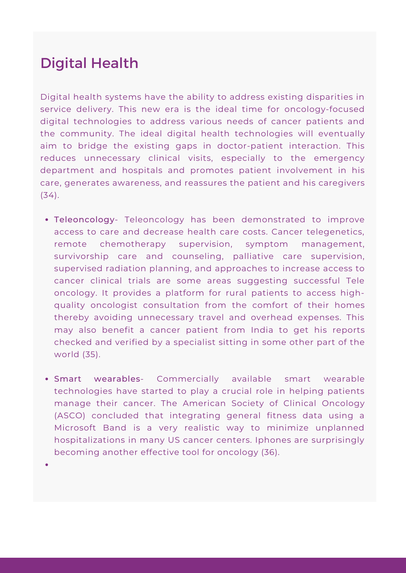### Digital Health

Digital health systems have the ability to address existing disparities in service delivery. This new era is the ideal time for oncology-focused digital technologies to address various needs of cancer patients and the community. The ideal digital health technologies will eventually aim to bridge the existing gaps in doctor-patient interaction. This reduces unnecessary clinical visits, especially to the emergency department and hospitals and promotes patient involvement in his care, generates awareness, and reassures the patient and his caregivers [\(34\).](https://www.zotero.org/google-docs/?JAjIMV)

- Teleoncology- Teleoncology has been demonstrated to improve access to care and decrease health care costs. Cancer telegenetics, remote chemotherapy supervision, symptom management, survivorship care and counseling, palliative care supervision, supervised radiation planning, and approaches to increase access to cancer clinical trials are some areas suggesting successful Tele oncology. It provides a platform for rural patients to access highquality oncologist consultation from the comfort of their homes thereby avoiding unnecessary travel and overhead expenses. This may also benefit a cancer patient from India to get his reports checked and verified by a specialist sitting in some other part of the world [\(35\).](https://www.zotero.org/google-docs/?rRhQXo)
- Smart wearables- Commercially available smart wearable technologies have started to play a crucial role in helping patients manage their cancer. The American Society of Clinical Oncology (ASCO) concluded that integrating general fitness data using a Microsoft Band is a very realistic way to minimize unplanned hospitalizations in many US cancer centers. Iphones are surprisingly becoming another effective tool for oncology [\(36\)](https://www.zotero.org/google-docs/?Uuzp12).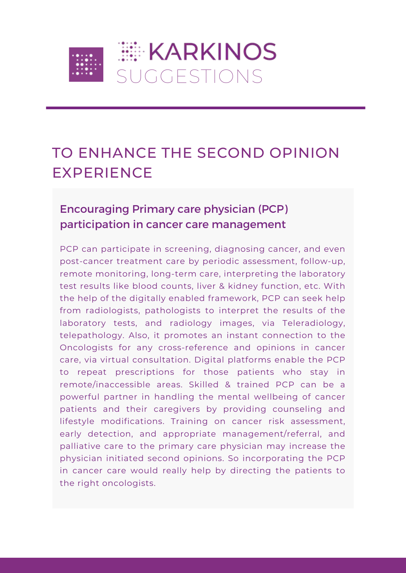

### TO ENHANCE THE SECOND OPINION EXPERIENCE

#### Encouraging Primary care physician (PCP) participation in cancer care management

PCP can participate in screening, diagnosing cancer, and even post-cancer treatment care by periodic assessment, follow-up, remote monitoring, long-term care, interpreting the laboratory test results like blood counts, liver & kidney function, etc. With the help of the digitally enabled framework, PCP can seek help from radiologists, pathologists to interpret the results of the laboratory tests, and radiology images, via Teleradiology, telepathology. Also, it promotes an instant connection to the Oncologists for any cross-reference and opinions in cancer care, via virtual consultation. Digital platforms enable the PCP to repeat prescriptions for those patients who stay in remote/inaccessible areas. Skilled & trained PCP can be a powerful partner in handling the mental wellbeing of cancer patients and their caregivers by providing counseling and lifestyle modifications. Training on cancer risk assessment, early detection, and appropriate management/referral, and palliative care to the primary care physician may increase the physician initiated second opinions. So incorporating the PCP in cancer care would really help by directing the patients to the right oncologists.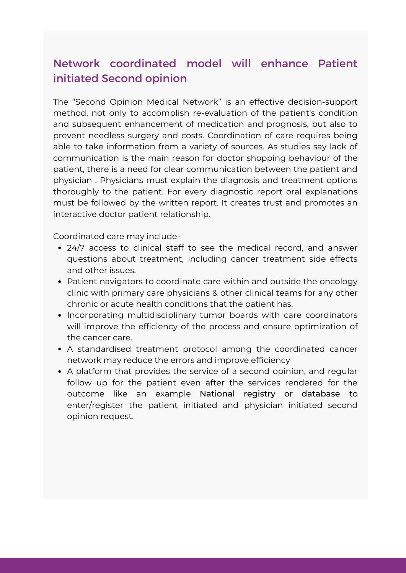#### Network coordinated model will enhance Patient initiated Second opinion

The "Second Opinion Medical Network" is an effective decision-support method, not only to accomplish re-evaluation of the patient's condition and subsequent enhancement of medication and prognosis, but also to prevent needless surgery and costs. Coordination of care requires being able to take information from a variety of sources. As studies say lack of communication is the main reason for doctor shopping behaviour of the patient, there is a need for clear communication between the patient and physician . Physicians must explain the diagnosis and treatment options thoroughly to the patient. For every diagnostic report oral explanations must be followed by the written report. It creates trust and promotes an interactive doctor patient relationship.

Coordinated care may include-

- 24/7 access to clinical staff to see the medical record, and answer questions about treatment, including cancer treatment side effects and other issues.
- Patient navigators to coordinate care within and outside the oncology clinic with primary care physicians & other clinical teams for any other chronic or acute health conditions that the patient has.
- Incorporating multidisciplinary tumor boards with care coordinators will improve the efficiency of the process and ensure optimization of the cancer care.
- A standardised treatment protocol among the coordinated cancer network may reduce the errors and improve efficiency
- A platform that provides the service of a second opinion, and regular follow up for the patient even after the services rendered for the outcome like an example National registry or database to enter/register the patient initiated and physician initiated second opinion request.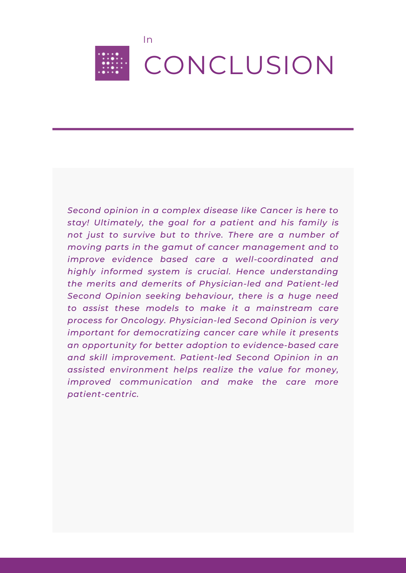

In

# CONCLUSION

*Second opinion in a complex disease like Cancer is here to stay! Ultimately, the goal for a patient and his family is not just to survive but to thrive. There are a number of moving parts in the gamut of cancer management and to improve evidence based care a well-coordinated and highly informed system is crucial. Hence understanding the merits and demerits of Physician-led and Patient-led Second Opinion seeking behaviour, there is a huge need to assist these models to make it a mainstream care process for Oncology. Physician-led Second Opinion is very important for democratizing cancer care while it presents an opportunity for better adoption to evidence-based care and skill improvement. Patient-led Second Opinion in an assisted environment helps realize the value for money, improved communication and make the care more patient-centric.*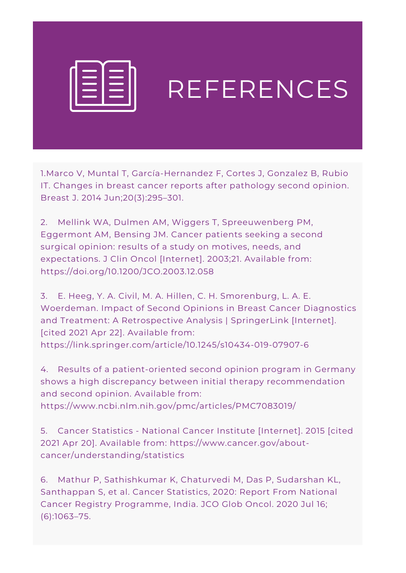

1.Marco V, Muntal T, [García-Hernandez](https://www.zotero.org/google-docs/?SnsHIM) F, Cortes J, Gonzalez B, Rubio IT. Changes in breast cancer reports after pathology second opinion. Breast J. 2014 Jun;20(3):295–301.

[2.](https://www.zotero.org/google-docs/?SnsHIM) [M](https://www.zotero.org/google-docs/?SnsHIM)ellink WA, Dulmen AM, Wiggers T, Spreeuwenberg PM, Eggermont AM, Bensing JM. Cancer patients seeking a second surgical opinion: results of a study on motives, needs, and expectations. J Clin Oncol [Internet]. 2003;21. Available from: [https://doi.org/10.1200/JCO.2003.12.058](https://www.zotero.org/google-docs/?SnsHIM)

[3.](https://www.zotero.org/google-docs/?SnsHIM) [E](https://www.zotero.org/google-docs/?SnsHIM). Heeg, Y. A. Civil, M. A. Hillen, C. H. Smorenburg, L. A. E. Woerdeman. Impact of Second Opinions in Breast Cancer Diagnostics and Treatment: A Retrospective Analysis | SpringerLink [Internet]. [cited 2021 Apr 22]. Available from: [https://link.springer.com/article/10.1245/s10434-019-07907-6](https://www.zotero.org/google-docs/?SnsHIM)

[4.](https://www.zotero.org/google-docs/?SnsHIM) [R](https://www.zotero.org/google-docs/?SnsHIM)esults of a patient-oriented second opinion program in Germany shows a high discrepancy between initial therapy recommendation and second opinion. Available from: [https://www.ncbi.nlm.nih.gov/pmc/articles/PMC7083019/](https://www.zotero.org/google-docs/?SnsHIM)

[5.](https://www.zotero.org/google-docs/?SnsHIM) [C](https://www.zotero.org/google-docs/?SnsHIM)ancer Statistics - National Cancer Institute [Internet]. 2015 [cited 2021 Apr 20]. Available from: https://www.cancer.gov/about[cancer/understanding/statistics](https://www.zotero.org/google-docs/?SnsHIM)

[6.](https://www.zotero.org/google-docs/?SnsHIM) [M](https://www.zotero.org/google-docs/?SnsHIM)athur P, [Sathishkumar](https://www.zotero.org/google-docs/?SnsHIM) K, Chaturvedi M, Das P, Sudarshan KL, Santhappan S, et al. Cancer Statistics, 2020: Report From National Cancer Registry Programme, India. JCO Glob Oncol. 2020 Jul 16; (6):1063–75.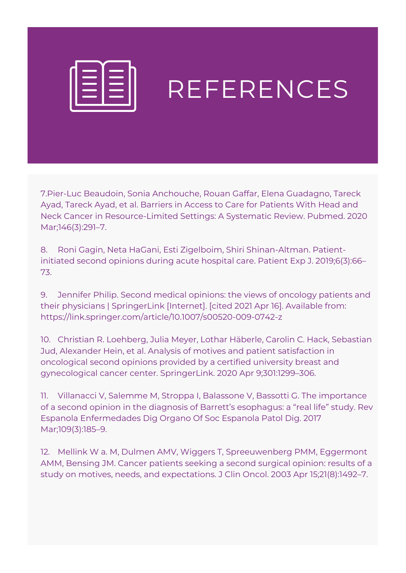

7.Pier-Luc Beaudoin, Sonia Anchouche, Rouan Gaffar, Elena Guadagno, Tareck Ayad, Tareck Ayad, et al. Barriers in Access to Care for Patients With Head and Neck Cancer in [Resource-Limited](https://www.zotero.org/google-docs/?SnsHIM) Settings: A Systematic Review. Pubmed. 2020 Mar;146(3):291–7.

[8.](https://www.zotero.org/google-docs/?SnsHIM) [R](https://www.zotero.org/google-docs/?SnsHIM)oni Gagin, Neta HaGani, Esti Zigelboim, Shiri [Shinan-Altman.](https://www.zotero.org/google-docs/?SnsHIM) Patientinitiated second opinions during acute hospital care. Patient Exp J. 2019;6(3):66– 73.

[9.](https://www.zotero.org/google-docs/?SnsHIM) Jennifer Philip. Second medical opinions: the views of oncology patients and their physicians | SpringerLink [Internet]. [cited 2021 Apr 16]. Available from: [https://link.springer.com/article/10.1007/s00520-009-0742-z](https://www.zotero.org/google-docs/?SnsHIM)

[10.](https://www.zotero.org/google-docs/?SnsHIM) [C](https://www.zotero.org/google-docs/?SnsHIM)hristian R. Loehberg, Julia Meyer, Lothar Häberle, Carolin C. Hack, Sebastian Jud, Alexander Hein, et al. Analysis of motives and patient satisfaction in oncological second opinions provided by a certified university breast and gynecological cancer center. SpringerLink. 2020 Apr [9;301:1299–306.](https://www.zotero.org/google-docs/?SnsHIM)

[11.](https://www.zotero.org/google-docs/?SnsHIM) [V](https://www.zotero.org/google-docs/?SnsHIM)illanacci V, Salemme M, Stroppa I, Balassone V, Bassotti G. The importance of a second opinion in the diagnosis of Barrett's esophagus: a "real life" study. Rev Espanola Enfermedades Dig Organo Of Soc Espanola Patol Dig. 2017 [Mar;109\(3\):185–9.](https://www.zotero.org/google-docs/?SnsHIM)

[12.](https://www.zotero.org/google-docs/?SnsHIM) Mellink W a. M, Dulmen AMV, Wiggers T, Spreeuwenberg PMM, Eggermont AMM, Bensing JM. Cancer patients seeking a second surgical opinion: results of a study on motives, needs, and expectations. J Clin Oncol. 2003 Apr 15;21(8):1492–7.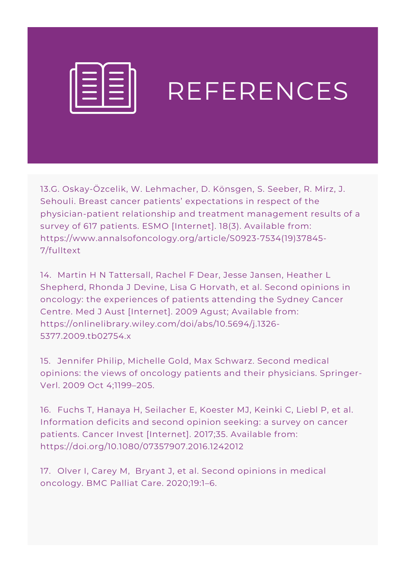

13.G. Oskay-Özcelik, W. Lehmacher, D. Könsgen, S. Seeber, R. Mirz, J. Sehouli. Breast cancer patients' expectations in respect of the physician-patient relationship and treatment management results of a survey of 617 patients. ESMO [Internet]. 18(3). Available from: [https://www.annalsofoncology.org/article/S0923-7534\(19\)37845-](https://www.zotero.org/google-docs/?SnsHIM) 7/fulltext

[14.](https://www.zotero.org/google-docs/?SnsHIM) [M](https://www.zotero.org/google-docs/?SnsHIM)artin H N Tattersall, Rachel F Dear, Jesse Jansen, Heather L Shepherd, Rhonda J Devine, Lisa G Horvath, et al. Second opinions in oncology: the experiences of patients attending the Sydney Cancer Centre. Med J Aust [Internet]. 2009 Agust; Available from: [https://onlinelibrary.wiley.com/doi/abs/10.5694/j.1326-](https://www.zotero.org/google-docs/?SnsHIM) 5377.2009.tb02754.x

[15.](https://www.zotero.org/google-docs/?SnsHIM) [J](https://www.zotero.org/google-docs/?SnsHIM)ennifer Philip, Michelle Gold, Max Schwarz. Second medical opinions: the views of oncology patients and their [physicians.](https://www.zotero.org/google-docs/?SnsHIM) Springer-Verl. 2009 Oct 4;1199–205.

[16.](https://www.zotero.org/google-docs/?SnsHIM) [F](https://www.zotero.org/google-docs/?SnsHIM)uchs T, Hanaya H, Seilacher E, Koester MJ, Keinki C, Liebl P, et al. Information deficits and second opinion seeking: a survey on cancer patients. Cancer Invest [Internet]. 2017;35. Available from: [https://doi.org/10.1080/07357907.2016.1242012](https://www.zotero.org/google-docs/?SnsHIM)

[17.](https://www.zotero.org/google-docs/?SnsHIM) [O](https://www.zotero.org/google-docs/?SnsHIM)lver I, [Carey](https://www.zotero.org/google-docs/?SnsHIM) M, [B](https://www.zotero.org/google-docs/?SnsHIM)ryant J, et al. Second opinions in medical oncology. BMC Palliat Care. [2020;19:1–6.](https://www.zotero.org/google-docs/?SnsHIM)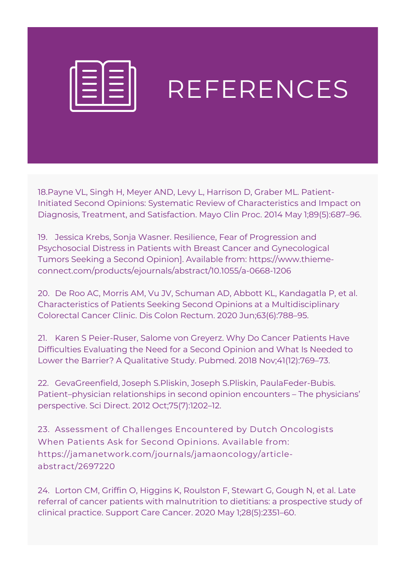

18.Payne VL, Singh H, Meyer AND, Levy L, Harrison D, Graber ML. Patient-Initiated Second Opinions: Systematic Review of [Characteristics](https://www.zotero.org/google-docs/?SnsHIM) and Impact on Diagnosis, Treatment, and Satisfaction. Mayo Clin Proc. 2014 May 1;89(5):687–96.

[19.](https://www.zotero.org/google-docs/?SnsHIM) [J](https://www.zotero.org/google-docs/?SnsHIM)essica Krebs, Sonja Wasner. Resilience, Fear of Progression and Psychosocial Distress in Patients with Breast Cancer and Gynecological Tumors Seeking a Second Opinion]. Available from: https://www.thieme[connect.com/products/ejournals/abstract/10.1055/a-0668-1206](https://www.zotero.org/google-docs/?SnsHIM)

[20.](https://www.zotero.org/google-docs/?SnsHIM) [D](https://www.zotero.org/google-docs/?SnsHIM)e Roo AC, Morris AM, Vu JV, Schuman AD, Abbott KL, Kandagatla P, et al. Characteristics of Patients Seeking Second Opinions at a Multidisciplinary Colorectal Cancer Clinic. Dis Colon Rectum. 2020 [Jun;63\(6\):788–95.](https://www.zotero.org/google-docs/?SnsHIM)

[21.](https://www.zotero.org/google-docs/?SnsHIM) [K](https://www.zotero.org/google-docs/?SnsHIM)aren S Peier-Ruser, Salome von Greyerz. Why Do Cancer Patients Have Difficulties Evaluating the Need for a Second Opinion and What Is Needed to Lower the Barrier? A Qualitative Study. Pubmed. 2018 [Nov;41\(12\):769–73.](https://www.zotero.org/google-docs/?SnsHIM)

[22.](https://www.zotero.org/google-docs/?SnsHIM) [G](https://www.zotero.org/google-docs/?SnsHIM)evaGreenfield, Joseph S.Pliskin, Joseph S.Pliskin, PaulaFeder-Bubis. Patient–physician relationships in second [opinion encounters](https://www.zotero.org/google-docs/?SnsHIM) – The physicians' perspective. Sci Direct. 2012 Oct;75(7):1202–12.

[23.](https://www.zotero.org/google-docs/?SnsHIM) [A](https://www.zotero.org/google-docs/?SnsHIM)ssessment of Challenges Encountered by Dutch Oncologists When Patients Ask for Second Opinions. Available from: [https://jamanetwork.com/journals/jamaoncology/article](https://www.zotero.org/google-docs/?SnsHIM)abstract/2697220

[24.](https://www.zotero.org/google-docs/?SnsHIM) [L](https://www.zotero.org/google-docs/?SnsHIM)orton CM, Griffin O, Higgins K, Roulston F, Stewart G, Gough N, et al. Late referral of cancer patients with [malnutrition to](https://www.zotero.org/google-docs/?SnsHIM) dietitians: a prospective study of clinical practice. Support Care Cancer. 2020 May 1;28(5):2351–60.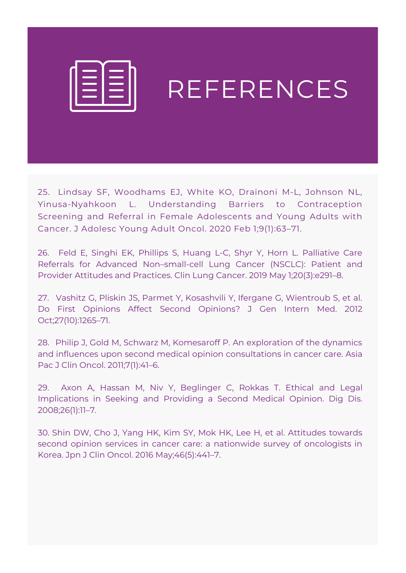

[25.](https://www.zotero.org/google-docs/?SnsHIM) Lindsay SF, Woodhams EJ, White KO, Drainoni M-L, Johnson NL, [Yinusa-Nyahkoon](https://www.zotero.org/google-docs/?SnsHIM) L. Understanding Barriers to Contraception Screening and Referral in Female Adolescents and Young Adults with Cancer. J Adolesc Young Adult Oncol. 2020 Feb 1;9(1):63–71.

[26.](https://www.zotero.org/google-docs/?SnsHIM) Feld E, Singhi EK, Phillips S, Huang L-C, Shyr Y, Horn L. Palliative Care Referrals for Advanced [Non–small-cell](https://www.zotero.org/google-docs/?SnsHIM) Lung Cancer (NSCLC): Patient and Provider Attitudes and Practices. Clin Lung Cancer. 2019 May 1;20(3):e291–8.

[27.](https://www.zotero.org/google-docs/?SnsHIM) Vashitz G, Pliskin JS, Parmet Y, Kosashvili Y, Ifergane G, Wientroub S, et al. Do First Opinions Affect Second Opinions? J Gen Intern Med. 2012 [Oct;27\(10\):1265–71.](https://www.zotero.org/google-docs/?SnsHIM)

[28.](https://www.zotero.org/google-docs/?SnsHIM) [P](https://www.zotero.org/google-docs/?SnsHIM)hilip J, Gold M, Schwarz M, Komesaroff P. An exploration of the dynamics and influences upon second medical [opinion consultations](https://www.zotero.org/google-docs/?SnsHIM) in cancer care. Asia Pac J Clin Oncol. 2011;7(1):41–6.

[29.](https://www.zotero.org/google-docs/?SnsHIM) [A](https://www.zotero.org/google-docs/?SnsHIM)xon A, Hassan M, Niv Y, Beglinger C, Rokkas T. Ethical and Legal Implications in Seeking and Providing a Second Medical Opinion. Dig Dis. [2008;26\(1\):11–7.](https://www.zotero.org/google-docs/?SnsHIM)

30. Shin DW, Cho J, Yang HK, Kim SY, Mok HK, Lee H, et al. Attitudes towards second opinion services in cancer care: a nationwide survey of oncologists in Korea. Jpn J Clin Oncol. 2016 [May;46\(5\):441–7.](https://www.zotero.org/google-docs/?SnsHIM)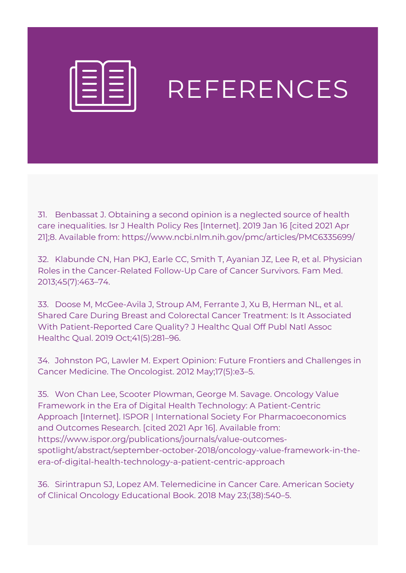

[31.](https://www.zotero.org/google-docs/?SnsHIM) [B](https://www.zotero.org/google-docs/?SnsHIM)enbassat J. Obtaining a second opinion is a neglected source of health care inequalities. Isr J Health Policy Res [Internet]. 2019 Jan 16 [cited 2021 Apr 21];8. Available from: [https://www.ncbi.nlm.nih.gov/pmc/articles/PMC6335699/](https://www.zotero.org/google-docs/?SnsHIM)

[32.](https://www.zotero.org/google-docs/?SnsHIM) [K](https://www.zotero.org/google-docs/?SnsHIM)labunde CN, Han PKJ, Earle CC, Smith T, Ayanian JZ, Lee R, et al. Physician Roles in the Cancer-Related Follow-Up Care of Cancer Survivors. Fam Med. [2013;45\(7\):463–74.](https://www.zotero.org/google-docs/?SnsHIM)

[33.](https://www.zotero.org/google-docs/?SnsHIM) Doose M, McGee-Avila J, Stroup AM, Ferrante J, Xu B, Herman NL, et al. Shared Care During Breast and Colorectal Cancer Treatment: Is It Associated With [Patient-Reported](https://www.zotero.org/google-docs/?SnsHIM) Care Quality? J Healthc Qual Off Publ Natl Assoc Healthc Qual. 2019 Oct;41(5):281–96.

[34.](https://www.zotero.org/google-docs/?SnsHIM) [J](https://www.zotero.org/google-docs/?SnsHIM)ohnston PG, Lawler M. Expert Opinion: Future Frontiers and Challenges in Cancer Medicine. The Oncologist. 2012 [May;17\(5\):e3–5.](https://www.zotero.org/google-docs/?SnsHIM)

[35.](https://www.zotero.org/google-docs/?SnsHIM) Won Chan Lee, Scooter Plowman, George M. Savage. Oncology Value Framework in the Era of Digital Health Technology: A Patient-Centric Approach [Internet]. ISPOR | International Society For Pharmacoeconomics and Outcomes Research. [cited 2021 Apr 16]. Available from: https://www.ispor.org/publications/journals/value-outcomes[spotlight/abstract/september-october-2018/oncology-value-framework-in-the](https://www.zotero.org/google-docs/?SnsHIM)era-of-digital-health-technology-a-patient-centric-approach

[36.](https://www.zotero.org/google-docs/?SnsHIM) [S](https://www.zotero.org/google-docs/?SnsHIM)irintrapun SJ, Lopez AM. [Telemedicine](https://www.zotero.org/google-docs/?SnsHIM) in Cancer Care. American Society of Clinical Oncology Educational Book. 2018 May 23;(38):540–5.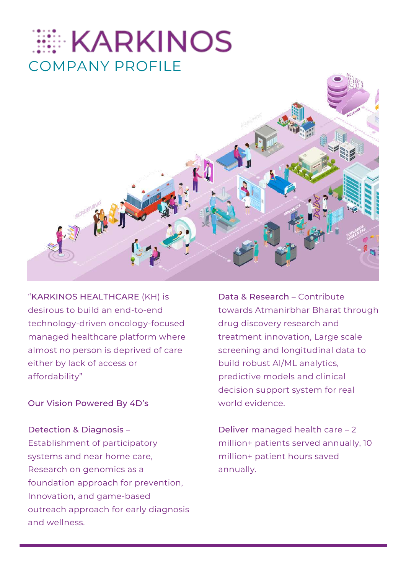## **EKARKINOS** COMPANY PROFILE



"KARKINOS HEALTHCARE (KH) is desirous to build an end-to-end technology-driven oncology-focused managed healthcare platform where almost no person is deprived of care either by lack of access or affordability"

Our Vision Powered By 4D's

Detection & Diagnosis – Establishment of participatory systems and near home care, Research on genomics as a foundation approach for prevention, Innovation, and game-based outreach approach for early diagnosis and wellness.

Data & Research – Contribute towards Atmanirbhar Bharat through drug discovery research and treatment innovation, Large scale screening and longitudinal data to build robust AI/ML analytics, predictive models and clinical decision support system for real world evidence.

Deliver managed health care – 2 million+ patients served annually, 10 million+ patient hours saved annually.